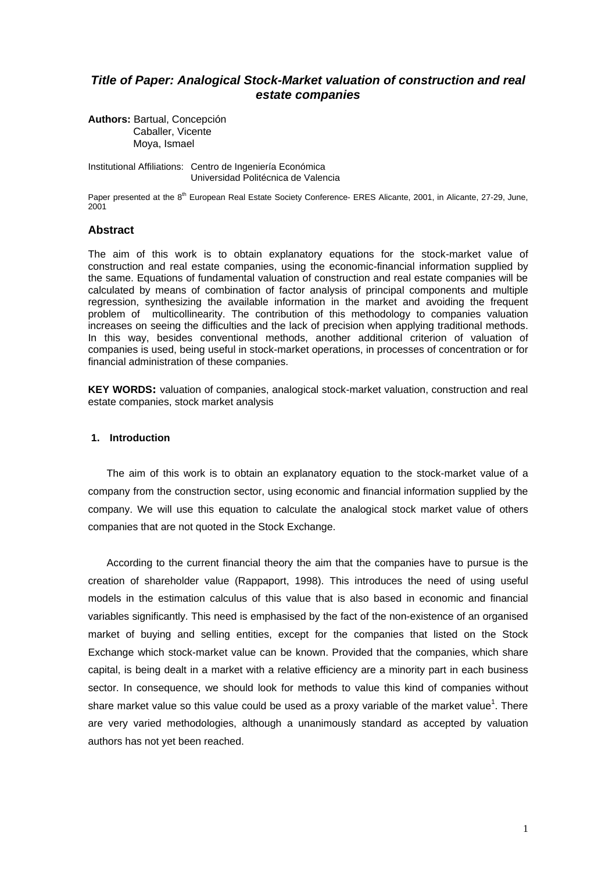# *Title of Paper: Analogical Stock-Market valuation of construction and real estate companies*

**Authors:** Bartual, Concepción Caballer, Vicente Moya, Ismael

Institutional Affiliations: Centro de Ingeniería Económica Universidad Politécnica de Valencia

Paper presented at the 8<sup>th</sup> European Real Estate Society Conference- ERES Alicante, 2001, in Alicante, 27-29, June, 2001

## **Abstract**

The aim of this work is to obtain explanatory equations for the stock-market value of construction and real estate companies, using the economic-financial information supplied by the same. Equations of fundamental valuation of construction and real estate companies will be calculated by means of combination of factor analysis of principal components and multiple regression, synthesizing the available information in the market and avoiding the frequent problem of multicollinearity. The contribution of this methodology to companies valuation increases on seeing the difficulties and the lack of precision when applying traditional methods. In this way, besides conventional methods, another additional criterion of valuation of companies is used, being useful in stock-market operations, in processes of concentration or for financial administration of these companies.

**KEY WORDS:** valuation of companies, analogical stock-market valuation, construction and real estate companies, stock market analysis

## **1. Introduction**

The aim of this work is to obtain an explanatory equation to the stock-market value of a company from the construction sector, using economic and financial information supplied by the company. We will use this equation to calculate the analogical stock market value of others companies that are not quoted in the Stock Exchange.

According to the current financial theory the aim that the companies have to pursue is the creation of shareholder value (Rappaport, 1998). This introduces the need of using useful models in the estimation calculus of this value that is also based in economic and financial variables significantly. This need is emphasised by the fact of the non-existence of an organised market of buying and selling entities, except for the companies that listed on the Stock Exchange which stock-market value can be known. Provided that the companies, which share capital, is being dealt in a market with a relative efficiency are a minority part in each business sector. In consequence, we should look for methods to value this kind of companies without share market value so this value could be used as a proxy variable of the market value<sup>1</sup>. There are very varied methodologies, although a unanimously standard as accepted by valuation authors has not yet been reached.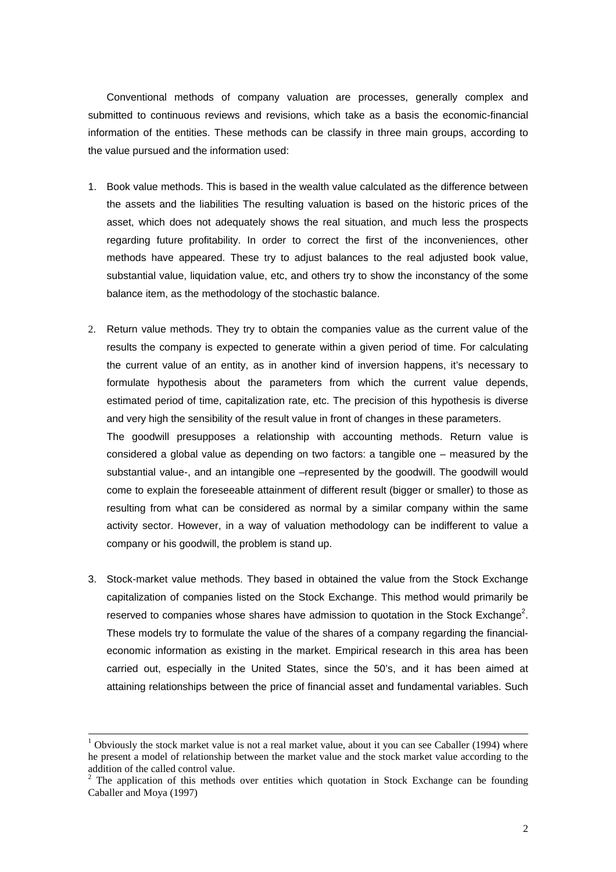Conventional methods of company valuation are processes, generally complex and submitted to continuous reviews and revisions, which take as a basis the economic-financial information of the entities. These methods can be classify in three main groups, according to the value pursued and the information used:

- 1. Book value methods. This is based in the wealth value calculated as the difference between the assets and the liabilities The resulting valuation is based on the historic prices of the asset, which does not adequately shows the real situation, and much less the prospects regarding future profitability. In order to correct the first of the inconveniences, other methods have appeared. These try to adjust balances to the real adjusted book value, substantial value, liquidation value, etc, and others try to show the inconstancy of the some balance item, as the methodology of the stochastic balance.
- 2. Return value methods. They try to obtain the companies value as the current value of the results the company is expected to generate within a given period of time. For calculating the current value of an entity, as in another kind of inversion happens, it's necessary to formulate hypothesis about the parameters from which the current value depends, estimated period of time, capitalization rate, etc. The precision of this hypothesis is diverse and very high the sensibility of the result value in front of changes in these parameters. The goodwill presupposes a relationship with accounting methods. Return value is considered a global value as depending on two factors: a tangible one – measured by the substantial value-, and an intangible one –represented by the goodwill. The goodwill would come to explain the foreseeable attainment of different result (bigger or smaller) to those as resulting from what can be considered as normal by a similar company within the same activity sector. However, in a way of valuation methodology can be indifferent to value a company or his goodwill, the problem is stand up.
- 3. Stock-market value methods. They based in obtained the value from the Stock Exchange capitalization of companies listed on the Stock Exchange. This method would primarily be reserved to companies whose shares have admission to quotation in the Stock Exchange<sup>2</sup>. These models try to formulate the value of the shares of a company regarding the financialeconomic information as existing in the market. Empirical research in this area has been carried out, especially in the United States, since the 50's, and it has been aimed at attaining relationships between the price of financial asset and fundamental variables. Such

1

<sup>1</sup> Obviously the stock market value is not a real market value, about it you can see Caballer (1994) where he present a model of relationship between the market value and the stock market value according to the addition of the called control value.

 $2$  The application of this methods over entities which quotation in Stock Exchange can be founding Caballer and Moya (1997)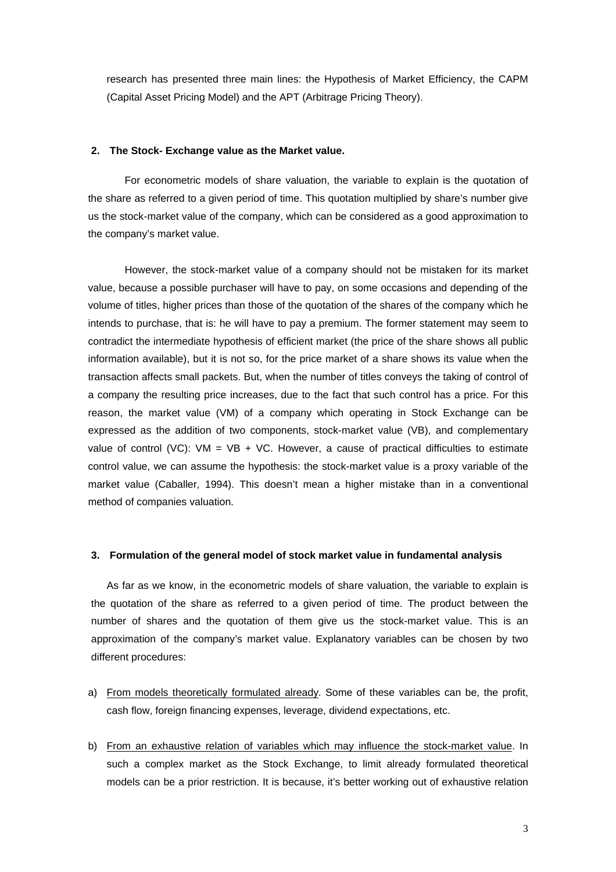research has presented three main lines: the Hypothesis of Market Efficiency, the CAPM (Capital Asset Pricing Model) and the APT (Arbitrage Pricing Theory).

### **2. The Stock- Exchange value as the Market value.**

For econometric models of share valuation, the variable to explain is the quotation of the share as referred to a given period of time. This quotation multiplied by share's number give us the stock-market value of the company, which can be considered as a good approximation to the company's market value.

However, the stock-market value of a company should not be mistaken for its market value, because a possible purchaser will have to pay, on some occasions and depending of the volume of titles, higher prices than those of the quotation of the shares of the company which he intends to purchase, that is: he will have to pay a premium. The former statement may seem to contradict the intermediate hypothesis of efficient market (the price of the share shows all public information available), but it is not so, for the price market of a share shows its value when the transaction affects small packets. But, when the number of titles conveys the taking of control of a company the resulting price increases, due to the fact that such control has a price. For this reason, the market value (VM) of a company which operating in Stock Exchange can be expressed as the addition of two components, stock-market value (VB), and complementary value of control (VC):  $VM = VB + VC$ . However, a cause of practical difficulties to estimate control value, we can assume the hypothesis: the stock-market value is a proxy variable of the market value (Caballer, 1994). This doesn't mean a higher mistake than in a conventional method of companies valuation.

## **3. Formulation of the general model of stock market value in fundamental analysis**

As far as we know, in the econometric models of share valuation, the variable to explain is the quotation of the share as referred to a given period of time. The product between the number of shares and the quotation of them give us the stock-market value. This is an approximation of the company's market value. Explanatory variables can be chosen by two different procedures:

- a) From models theoretically formulated already. Some of these variables can be, the profit, cash flow, foreign financing expenses, leverage, dividend expectations, etc.
- b) From an exhaustive relation of variables which may influence the stock-market value. In such a complex market as the Stock Exchange, to limit already formulated theoretical models can be a prior restriction. It is because, it's better working out of exhaustive relation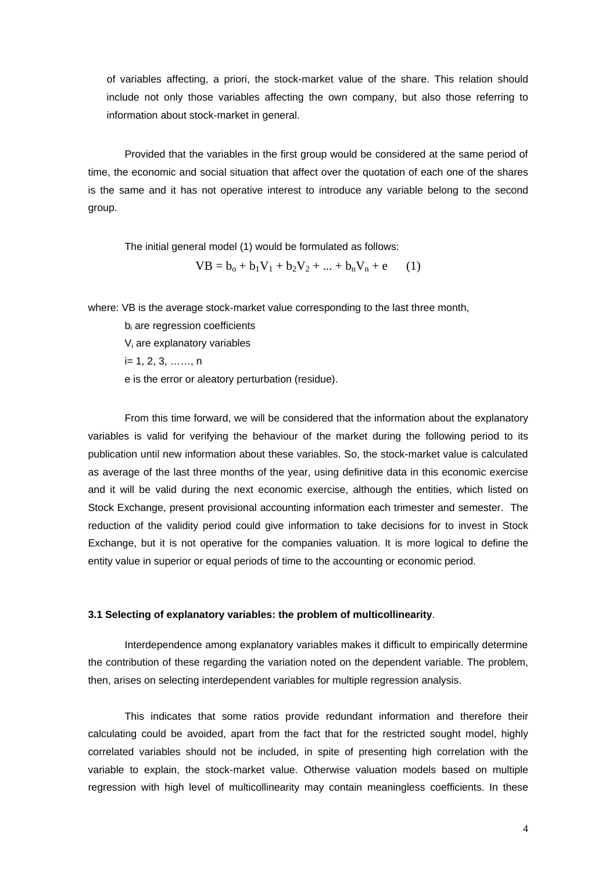of variables affecting, a priori, the stock-market value of the share. This relation should include not only those variables affecting the own company, but also those referring to information about stock-market in general.

Provided that the variables in the first group would be considered at the same period of time, the economic and social situation that affect over the quotation of each one of the shares is the same and it has not operative interest to introduce any variable belong to the second group.

The initial general model (1) would be formulated as follows:

 $VB = b_0 + b_1V_1 + b_2V_2 + ... + b_nV_n + e$  (1)

where: VB is the average stock-market value corresponding to the last three month,

b<sub>i</sub> are regression coefficients

Vi are explanatory variables

 $i= 1, 2, 3, \ldots, n$ 

e is the error or aleatory perturbation (residue).

From this time forward, we will be considered that the information about the explanatory variables is valid for verifying the behaviour of the market during the following period to its publication until new information about these variables. So, the stock-market value is calculated as average of the last three months of the year, using definitive data in this economic exercise and it will be valid during the next economic exercise, although the entities, which listed on Stock Exchange, present provisional accounting information each trimester and semester. The reduction of the validity period could give information to take decisions for to invest in Stock Exchange, but it is not operative for the companies valuation. It is more logical to define the entity value in superior or equal periods of time to the accounting or economic period.

### **3.1 Selecting of explanatory variables: the problem of multicollinearity**.

Interdependence among explanatory variables makes it difficult to empirically determine the contribution of these regarding the variation noted on the dependent variable. The problem, then, arises on selecting interdependent variables for multiple regression analysis.

This indicates that some ratios provide redundant information and therefore their calculating could be avoided, apart from the fact that for the restricted sought model, highly correlated variables should not be included, in spite of presenting high correlation with the variable to explain, the stock-market value. Otherwise valuation models based on multiple regression with high level of multicollinearity may contain meaningless coefficients. In these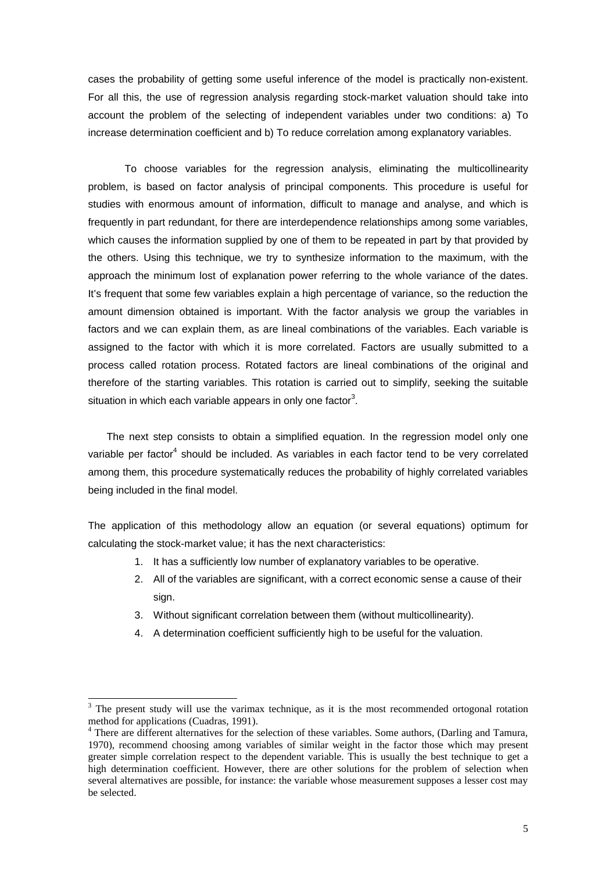cases the probability of getting some useful inference of the model is practically non-existent. For all this, the use of regression analysis regarding stock-market valuation should take into account the problem of the selecting of independent variables under two conditions: a) To increase determination coefficient and b) To reduce correlation among explanatory variables.

To choose variables for the regression analysis, eliminating the multicollinearity problem, is based on factor analysis of principal components. This procedure is useful for studies with enormous amount of information, difficult to manage and analyse, and which is frequently in part redundant, for there are interdependence relationships among some variables, which causes the information supplied by one of them to be repeated in part by that provided by the others. Using this technique, we try to synthesize information to the maximum, with the approach the minimum lost of explanation power referring to the whole variance of the dates. It's frequent that some few variables explain a high percentage of variance, so the reduction the amount dimension obtained is important. With the factor analysis we group the variables in factors and we can explain them, as are lineal combinations of the variables. Each variable is assigned to the factor with which it is more correlated. Factors are usually submitted to a process called rotation process. Rotated factors are lineal combinations of the original and therefore of the starting variables. This rotation is carried out to simplify, seeking the suitable situation in which each variable appears in only one factor<sup>3</sup>.

The next step consists to obtain a simplified equation. In the regression model only one variable per factor<sup>4</sup> should be included. As variables in each factor tend to be very correlated among them, this procedure systematically reduces the probability of highly correlated variables being included in the final model.

The application of this methodology allow an equation (or several equations) optimum for calculating the stock-market value; it has the next characteristics:

- 1. It has a sufficiently low number of explanatory variables to be operative.
- 2. All of the variables are significant, with a correct economic sense a cause of their sign.
- 3. Without significant correlation between them (without multicollinearity).
- 4. A determination coefficient sufficiently high to be useful for the valuation.

l

 $3$  The present study will use the varimax technique, as it is the most recommended ortogonal rotation method for applications (Cuadras, 1991).

<sup>&</sup>lt;sup>4</sup> There are different alternatives for the selection of these variables. Some authors, (Darling and Tamura, 1970), recommend choosing among variables of similar weight in the factor those which may present greater simple correlation respect to the dependent variable. This is usually the best technique to get a high determination coefficient. However, there are other solutions for the problem of selection when several alternatives are possible, for instance: the variable whose measurement supposes a lesser cost may be selected.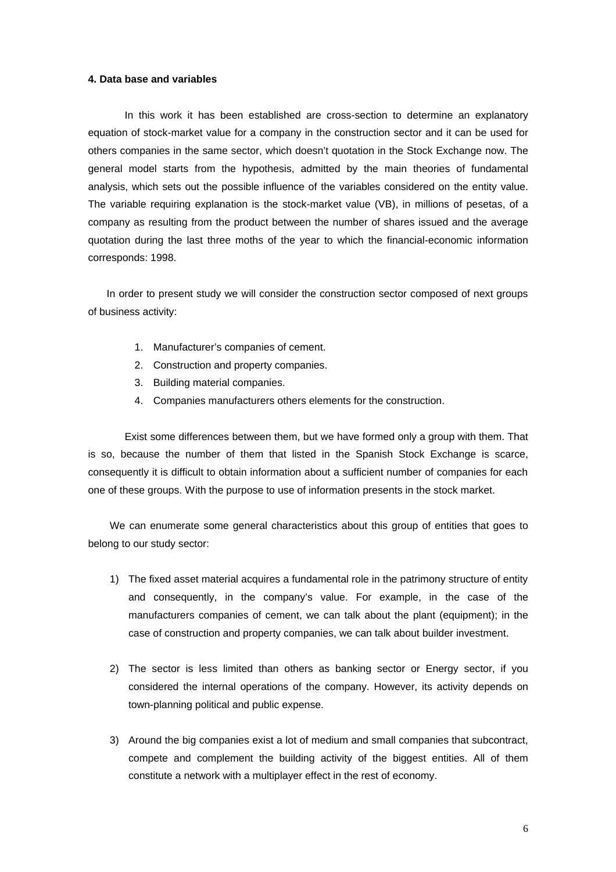### **4. Data base and variables**

In this work it has been established are cross-section to determine an explanatory equation of stock-market value for a company in the construction sector and it can be used for others companies in the same sector, which doesn't quotation in the Stock Exchange now. The general model starts from the hypothesis, admitted by the main theories of fundamental analysis, which sets out the possible influence of the variables considered on the entity value. The variable requiring explanation is the stock-market value (VB), in millions of pesetas, of a company as resulting from the product between the number of shares issued and the average quotation during the last three moths of the year to which the financial-economic information corresponds: 1998.

In order to present study we will consider the construction sector composed of next groups of business activity:

- 1. Manufacturer's companies of cement.
- 2. Construction and property companies.
- 3. Building material companies.
- 4. Companies manufacturers others elements for the construction.

Exist some differences between them, but we have formed only a group with them. That is so, because the number of them that listed in the Spanish Stock Exchange is scarce, consequently it is difficult to obtain information about a sufficient number of companies for each one of these groups. With the purpose to use of information presents in the stock market.

We can enumerate some general characteristics about this group of entities that goes to belong to our study sector:

- 1) The fixed asset material acquires a fundamental role in the patrimony structure of entity and consequently, in the company's value. For example, in the case of the manufacturers companies of cement, we can talk about the plant (equipment); in the case of construction and property companies, we can talk about builder investment.
- 2) The sector is less limited than others as banking sector or Energy sector, if you considered the internal operations of the company. However, its activity depends on town-planning political and public expense.
- 3) Around the big companies exist a lot of medium and small companies that subcontract, compete and complement the building activity of the biggest entities. All of them constitute a network with a multiplayer effect in the rest of economy.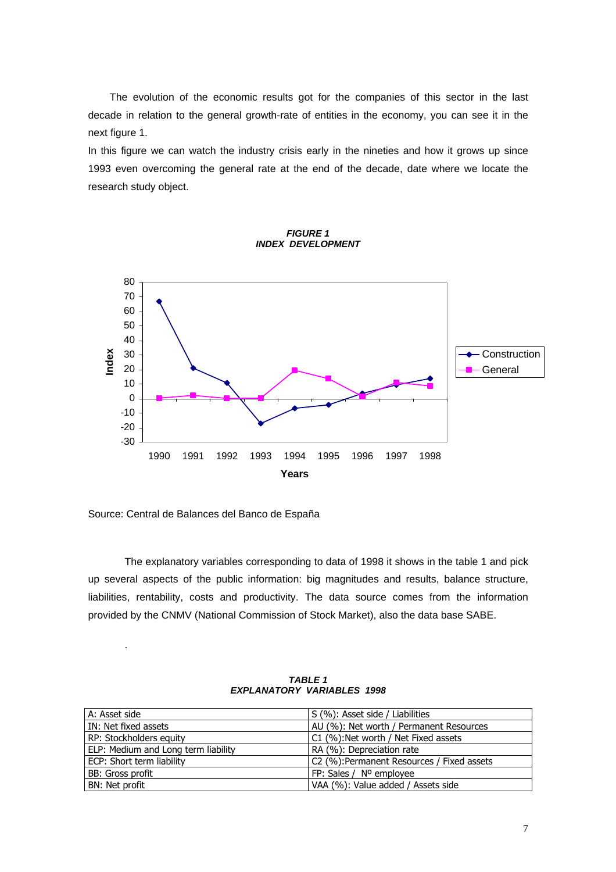The evolution of the economic results got for the companies of this sector in the last decade in relation to the general growth-rate of entities in the economy, you can see it in the next figure 1.

In this figure we can watch the industry crisis early in the nineties and how it grows up since 1993 even overcoming the general rate at the end of the decade, date where we locate the research study object.





Source: Central de Balances del Banco de España

.

The explanatory variables corresponding to data of 1998 it shows in the table 1 and pick up several aspects of the public information: big magnitudes and results, balance structure, liabilities, rentability, costs and productivity. The data source comes from the information provided by the CNMV (National Commission of Stock Market), also the data base SABE.

| A: Asset side                       | S (%): Asset side / Liabilities            |
|-------------------------------------|--------------------------------------------|
| IN: Net fixed assets                | AU (%): Net worth / Permanent Resources    |
| RP: Stockholders equity             | C1 (%): Net worth / Net Fixed assets       |
| ELP: Medium and Long term liability | RA (%): Depreciation rate                  |
| ECP: Short term liability           | C2 (%): Permanent Resources / Fixed assets |
| BB: Gross profit                    | FP: Sales / Nº employee                    |
| BN: Net profit                      | VAA (%): Value added / Assets side         |

*TABLE 1 EXPLANATORY VARIABLES 1998*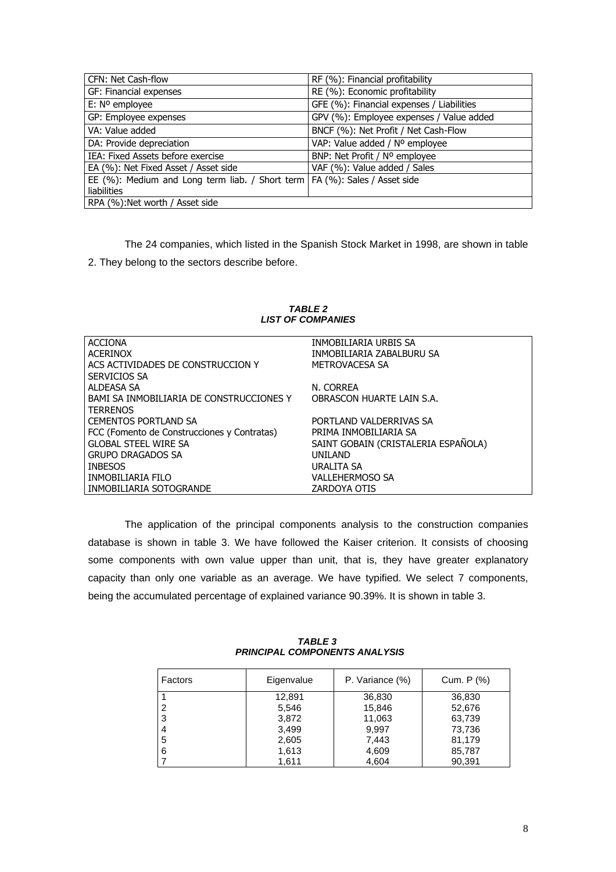| CFN: Net Cash-flow                                                           | RF (%): Financial profitability           |
|------------------------------------------------------------------------------|-------------------------------------------|
| GF: Financial expenses                                                       | RE (%): Economic profitability            |
| $E: No$ employee                                                             | GFE (%): Financial expenses / Liabilities |
| GP: Employee expenses                                                        | GPV (%): Employee expenses / Value added  |
| VA: Value added                                                              | BNCF (%): Net Profit / Net Cash-Flow      |
| DA: Provide depreciation                                                     | VAP: Value added / Nº employee            |
| IEA: Fixed Assets before exercise                                            | BNP: Net Profit / Nº employee             |
| EA (%): Net Fixed Asset / Asset side                                         | VAF (%): Value added / Sales              |
| EE (%): Medium and Long term liab. / Short term   FA (%): Sales / Asset side |                                           |
| <b>liabilities</b>                                                           |                                           |
| RPA (%): Net worth / Asset side                                              |                                           |

The 24 companies, which listed in the Spanish Stock Market in 1998, are shown in table 2. They belong to the sectors describe before.

| <b>ACCIONA</b>                              | INMOBILIARIA URBIS SA               |
|---------------------------------------------|-------------------------------------|
| ACFRINOX                                    | INMOBILIARIA ZABALBURU SA           |
| ACS ACTIVIDADES DE CONSTRUCCION Y           | METROVACESA SA                      |
| SERVICIOS SA                                |                                     |
| ALDEASA SA                                  | N. CORREA                           |
| BAMI SA INMOBILIARIA DE CONSTRUCCIONES Y    | OBRASCON HUARTE LAIN S.A.           |
| <b>TERRENOS</b>                             |                                     |
| <b>CEMENTOS PORTLAND SA</b>                 | PORTLAND VALDERRIVAS SA             |
| FCC (Fomento de Construcciones y Contratas) | PRIMA INMOBILIARIA SA               |
| <b>GLOBAL STEEL WIRE SA</b>                 | SAINT GOBAIN (CRISTALERIA ESPAÑOLA) |
| <b>GRUPO DRAGADOS SA</b>                    | UNILAND                             |
| <b>INBESOS</b>                              | URALITA SA                          |
| INMOBILIARIA FILO                           | <b>VALLEHERMOSO SA</b>              |
| INMOBILIARIA SOTOGRANDE                     | ZARDOYA OTIS                        |
|                                             |                                     |

*TABLE 2 LIST OF COMPANIES*

The application of the principal components analysis to the construction companies database is shown in table 3. We have followed the Kaiser criterion. It consists of choosing some components with own value upper than unit, that is, they have greater explanatory capacity than only one variable as an average. We have typified. We select 7 components, being the accumulated percentage of explained variance 90.39%. It is shown in table 3.

 *TABLE 3 PRINCIPAL COMPONENTS ANALYSIS*

| Factors | Eigenvalue | P. Variance (%) | Cum. P (%) |
|---------|------------|-----------------|------------|
|         | 12,891     | 36,830          | 36,830     |
| 2       | 5,546      | 15,846          | 52,676     |
| 3       | 3,872      | 11,063          | 63,739     |
| 4       | 3,499      | 9.997           | 73,736     |
| 5       | 2,605      | 7.443           | 81.179     |
| 6       | 1,613      | 4,609           | 85,787     |
|         | 1,611      | 4,604           | 90,391     |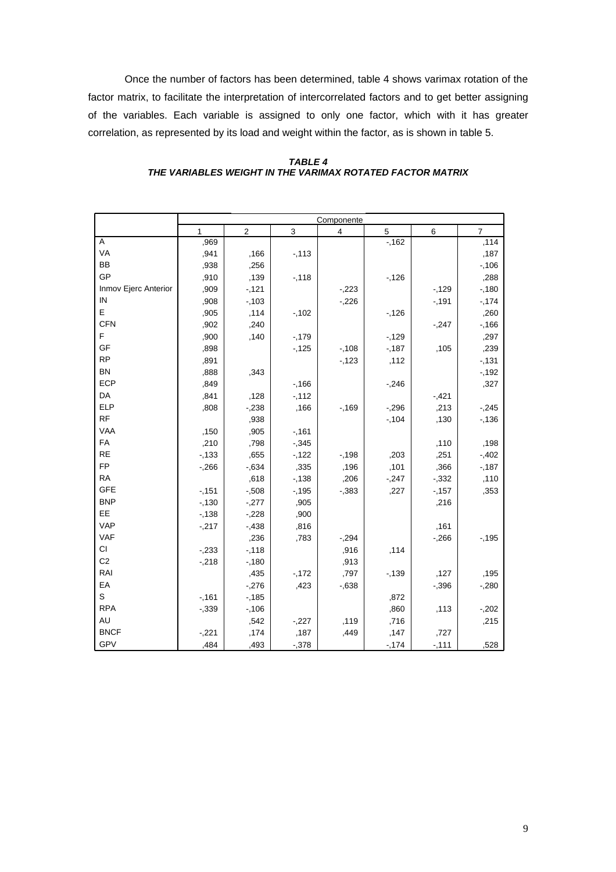Once the number of factors has been determined, table 4 shows varimax rotation of the factor matrix, to facilitate the interpretation of intercorrelated factors and to get better assigning of the variables. Each variable is assigned to only one factor, which with it has greater correlation, as represented by its load and weight within the factor, as is shown in table 5.

|                      | Componente   |                |          |          |        |          |                |
|----------------------|--------------|----------------|----------|----------|--------|----------|----------------|
|                      | $\mathbf{1}$ | $\overline{c}$ | 3        | 4        | 5      | $\,6\,$  | $\overline{7}$ |
| A                    | ,969         |                |          |          | $-162$ |          | ,114           |
| VA                   | ,941         | ,166           | $-113$   |          |        |          | ,187           |
| BB                   | ,938         | ,256           |          |          |        |          | $-106$         |
| GP                   | ,910         | ,139           | $-118$   |          | $-126$ |          | ,288           |
| Inmov Ejerc Anterior | ,909         | $-121$         |          | $-223$   |        | $-129$   | $-180$         |
| IN                   | ,908         | $-103$         |          | $-226$   |        | $-191$   | $-174$         |
| Е                    | ,905         | ,114           | $-102$   |          | $-126$ |          | ,260           |
| <b>CFN</b>           | ,902         | ,240           |          |          |        | $-247$   | $-166$         |
| F                    | ,900         | ,140           | $-179$   |          | $-129$ |          | ,297           |
| GF                   | ,898         |                | $-125$   | $-108$   | $-187$ | ,105     | ,239           |
| <b>RP</b>            | ,891         |                |          | $-123$   | ,112   |          | $-131$         |
| <b>BN</b>            | ,888         | ,343           |          |          |        |          | $-192$         |
| ECP                  | ,849         |                | $-166$   |          | $-246$ |          | ,327           |
| DA                   | ,841         | ,128           | $-112$   |          |        | $-1,421$ |                |
| ELP                  | ,808         | $-238$         | ,166     | $-169$   | $-296$ | ,213     | $-245$         |
| RF                   |              | ,938           |          |          | $-104$ | ,130     | $-136$         |
| VAA                  | ,150         | ,905           | $-161$   |          |        |          |                |
| FA                   | ,210         | ,798           | $-0.345$ |          |        | ,110     | ,198           |
| <b>RE</b>            | $-133$       | ,655           | $-122$   | $-198$   | ,203   | ,251     | $-0.402$       |
| <b>FP</b>            | $-266$       | $-0.634$       | ,335     | ,196     | ,101   | ,366     | $-187$         |
| <b>RA</b>            |              | ,618           | $-138$   | ,206     | $-247$ | $-332$   | ,110           |
| <b>GFE</b>           | $-151$       | $-0.508$       | $-195$   | $-0.383$ | ,227   | $-157$   | ,353           |
| <b>BNP</b>           | $-130$       | $-277$         | ,905     |          |        | ,216     |                |
| EE                   | $-138$       | $-228$         | ,900     |          |        |          |                |
| <b>VAP</b>           | $-.217$      | $-438$         | ,816     |          |        | ,161     |                |
| <b>VAF</b>           |              | ,236           | ,783     | $-294$   |        | $-266$   | $-195$         |
| CI                   | $-233$       | $-118$         |          | ,916     | ,114   |          |                |
| C <sub>2</sub>       | $-218$       | $-180$         |          | ,913     |        |          |                |
| RAI                  |              | ,435           | $-172$   | ,797     | $-139$ | ,127     | ,195           |
| EA                   |              | $-276$         | ,423     | $-0.638$ |        | $-0.396$ | $-280$         |
| $\mathbb S$          | $-161$       | $-185$         |          |          | ,872   |          |                |
| <b>RPA</b>           | $-0.339$     | $-106$         |          |          | ,860   | ,113     | $-202$         |
| <b>AU</b>            |              | ,542           | $-227$   | ,119     | ,716   |          | ,215           |
| <b>BNCF</b>          | $-221$       | ,174           | ,187     | ,449     | ,147   | ,727     |                |
| GPV                  | ,484         | ,493           | $-0.378$ |          | $-174$ | $-111$   | ,528           |

## *TABLE 4 THE VARIABLES WEIGHT IN THE VARIMAX ROTATED FACTOR MATRIX*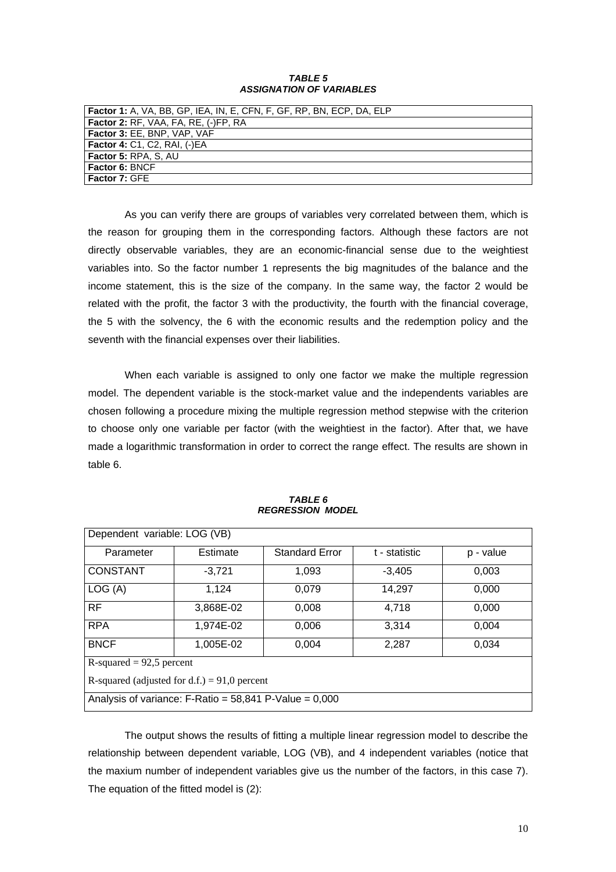### *TABLE 5 ASSIGNATION OF VARIABLES*

| <b>  Factor 1:</b> A. VA. BB. GP. IEA. IN. E. CFN. F. GF. RP. BN. ECP. DA. ELP |
|--------------------------------------------------------------------------------|
| <b>Factor 2: RF, VAA, FA, RE, (-)FP, RA</b>                                    |
| <b>Factor 3: EE, BNP, VAP, VAF</b>                                             |
| <b>Factor 4: C1, C2, RAI, (-)EA</b>                                            |
| <b>Factor 5: RPA, S, AU</b>                                                    |
| <b>Factor 6: BNCF</b>                                                          |
| <b>Factor 7: GFE</b>                                                           |

As you can verify there are groups of variables very correlated between them, which is the reason for grouping them in the corresponding factors. Although these factors are not directly observable variables, they are an economic-financial sense due to the weightiest variables into. So the factor number 1 represents the big magnitudes of the balance and the income statement, this is the size of the company. In the same way, the factor 2 would be related with the profit, the factor 3 with the productivity, the fourth with the financial coverage, the 5 with the solvency, the 6 with the economic results and the redemption policy and the seventh with the financial expenses over their liabilities.

When each variable is assigned to only one factor we make the multiple regression model. The dependent variable is the stock-market value and the independents variables are chosen following a procedure mixing the multiple regression method stepwise with the criterion to choose only one variable per factor (with the weightiest in the factor). After that, we have made a logarithmic transformation in order to correct the range effect. The results are shown in table 6.

| Dependent variable: LOG (VB)                             |           |                       |               |           |  |  |  |
|----------------------------------------------------------|-----------|-----------------------|---------------|-----------|--|--|--|
| Parameter                                                | Estimate  | <b>Standard Error</b> | t - statistic | p - value |  |  |  |
| <b>CONSTANT</b>                                          | $-3.721$  | 1,093                 | $-3.405$      | 0,003     |  |  |  |
| LOG(A)                                                   | 1,124     | 0.079                 | 14,297        | 0,000     |  |  |  |
| <b>RF</b>                                                | 3.868E-02 | 0,008                 | 4,718         | 0,000     |  |  |  |
| <b>RPA</b>                                               | 1,974E-02 | 0,006                 | 3,314         | 0.004     |  |  |  |
| <b>BNCF</b>                                              | 1.005E-02 | 0.004                 | 2,287         | 0.034     |  |  |  |
| R-squared = $92,5$ percent                               |           |                       |               |           |  |  |  |
| R-squared (adjusted for d.f.) = 91,0 percent             |           |                       |               |           |  |  |  |
| Analysis of variance: $F-Ratio = 58,841 P-Value = 0,000$ |           |                       |               |           |  |  |  |

#### *TABLE 6 REGRESSION MODEL*

The output shows the results of fitting a multiple linear regression model to describe the relationship between dependent variable, LOG (VB), and 4 independent variables (notice that the maxium number of independent variables give us the number of the factors, in this case 7). The equation of the fitted model is (2):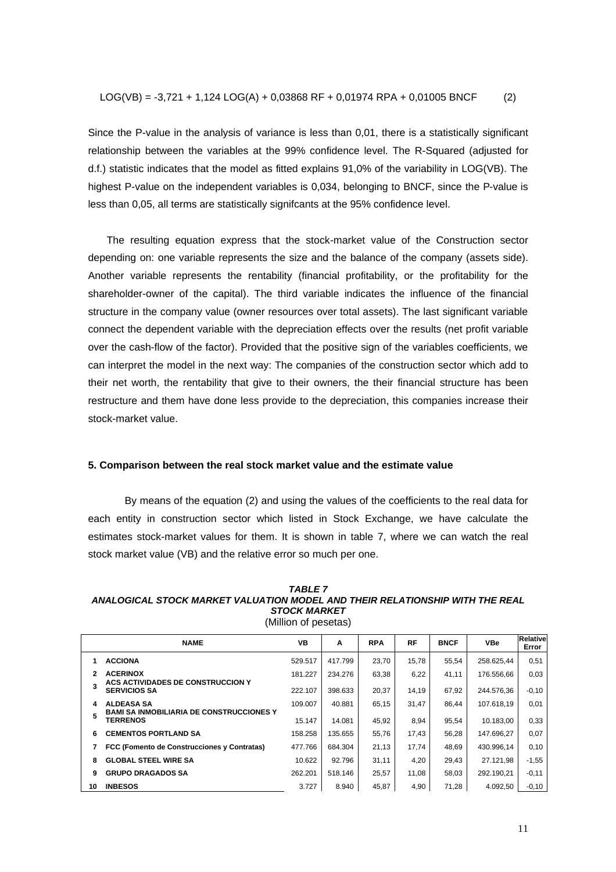Since the P-value in the analysis of variance is less than 0,01, there is a statistically significant relationship between the variables at the 99% confidence level. The R-Squared (adjusted for d.f.) statistic indicates that the model as fitted explains 91,0% of the variability in LOG(VB). The highest P-value on the independent variables is 0,034, belonging to BNCF, since the P-value is less than 0,05, all terms are statistically signifcants at the 95% confidence level.

The resulting equation express that the stock-market value of the Construction sector depending on: one variable represents the size and the balance of the company (assets side). Another variable represents the rentability (financial profitability, or the profitability for the shareholder-owner of the capital). The third variable indicates the influence of the financial structure in the company value (owner resources over total assets). The last significant variable connect the dependent variable with the depreciation effects over the results (net profit variable over the cash-flow of the factor). Provided that the positive sign of the variables coefficients, we can interpret the model in the next way: The companies of the construction sector which add to their net worth, the rentability that give to their owners, the their financial structure has been restructure and them have done less provide to the depreciation, this companies increase their stock-market value.

#### **5. Comparison between the real stock market value and the estimate value**

By means of the equation (2) and using the values of the coefficients to the real data for each entity in construction sector which listed in Stock Exchange, we have calculate the estimates stock-market values for them. It is shown in table 7, where we can watch the real stock market value (VB) and the relative error so much per one.

#### *TABLE 7 ANALOGICAL STOCK MARKET VALUATION MODEL AND THEIR RELATIONSHIP WITH THE REAL STOCK MARKET* (Million of pesetas)

|    | <b>NAME</b>                                                        | VB      | A       | <b>RPA</b> | <b>RF</b> | <b>BNCF</b> | <b>VBe</b> | Relative<br>Error |
|----|--------------------------------------------------------------------|---------|---------|------------|-----------|-------------|------------|-------------------|
|    | <b>ACCIONA</b>                                                     | 529.517 | 417.799 | 23,70      | 15.78     | 55,54       | 258.625.44 | 0,51              |
| 2  | <b>ACERINOX</b>                                                    | 181.227 | 234.276 | 63,38      | 6,22      | 41,11       | 176.556.66 | 0,03              |
|    | ACS ACTIVIDADES DE CONSTRUCCION Y<br><b>SERVICIOS SA</b>           | 222.107 | 398.633 | 20,37      | 14,19     | 67,92       | 244.576.36 | $-0,10$           |
| 4  | <b>ALDEASA SA</b>                                                  | 109.007 | 40.881  | 65,15      | 31,47     | 86.44       | 107.618.19 | 0,01              |
| 5  | <b>BAMI SA INMOBILIARIA DE CONSTRUCCIONES Y</b><br><b>TERRENOS</b> | 15.147  | 14.081  | 45,92      | 8,94      | 95,54       | 10.183.00  | 0,33              |
| 6  | <b>CEMENTOS PORTLAND SA</b>                                        | 158.258 | 135.655 | 55,76      | 17,43     | 56.28       | 147.696.27 | 0,07              |
|    | FCC (Fomento de Construcciones y Contratas)                        | 477.766 | 684.304 | 21,13      | 17,74     | 48.69       | 430.996.14 | 0,10              |
| 8  | <b>GLOBAL STEEL WIRE SA</b>                                        | 10.622  | 92.796  | 31,11      | 4,20      | 29,43       | 27.121.98  | $-1,55$           |
| 9  | <b>GRUPO DRAGADOS SA</b>                                           | 262.201 | 518.146 | 25,57      | 11,08     | 58,03       | 292.190.21 | $-0,11$           |
| 10 | <b>INBESOS</b>                                                     | 3.727   | 8.940   | 45,87      | 4,90      | 71,28       | 4.092.50   | $-0.10$           |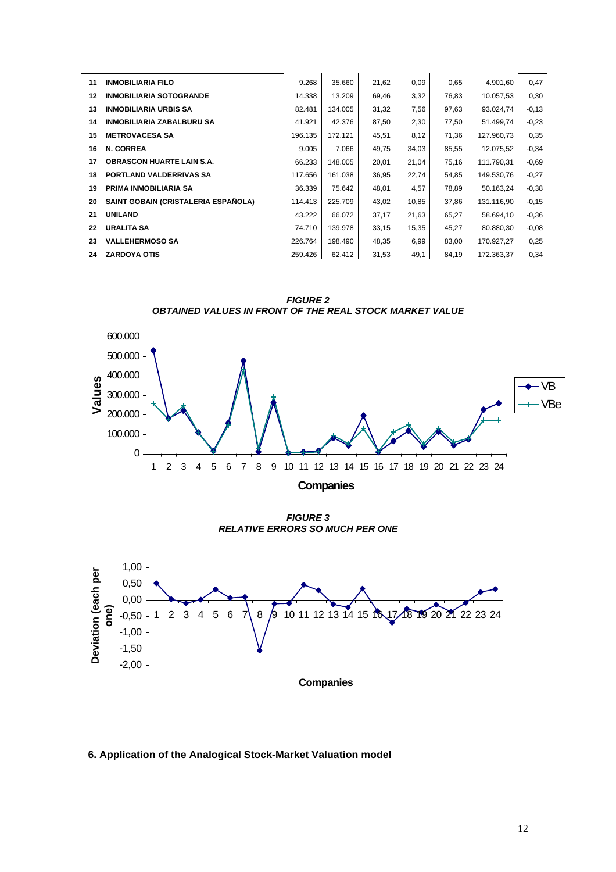| 11 | <b>INMOBILIARIA FILO</b>            | 9.268   | 35.660  | 21,62 | 0,09  | 0,65  | 4.901,60   | 0,47    |
|----|-------------------------------------|---------|---------|-------|-------|-------|------------|---------|
| 12 | <b>INMOBILIARIA SOTOGRANDE</b>      | 14.338  | 13.209  | 69,46 | 3,32  | 76,83 | 10.057,53  | 0,30    |
| 13 | <b>INMOBILIARIA URBIS SA</b>        | 82.481  | 134.005 | 31,32 | 7,56  | 97,63 | 93.024,74  | $-0.13$ |
| 14 | <b>INMOBILIARIA ZABALBURU SA</b>    | 41.921  | 42.376  | 87,50 | 2,30  | 77,50 | 51.499,74  | $-0,23$ |
| 15 | <b>METROVACESA SA</b>               | 196.135 | 172.121 | 45,51 | 8,12  | 71,36 | 127.960,73 | 0,35    |
| 16 | <b>N. CORREA</b>                    | 9.005   | 7.066   | 49,75 | 34,03 | 85,55 | 12.075,52  | $-0,34$ |
| 17 | <b>OBRASCON HUARTE LAIN S.A.</b>    | 66.233  | 148.005 | 20,01 | 21,04 | 75,16 | 111.790,31 | $-0.69$ |
| 18 | <b>PORTLAND VALDERRIVAS SA</b>      | 117.656 | 161.038 | 36,95 | 22,74 | 54,85 | 149.530,76 | $-0,27$ |
| 19 | PRIMA INMOBILIARIA SA               | 36.339  | 75.642  | 48,01 | 4,57  | 78,89 | 50.163,24  | $-0,38$ |
| 20 | SAINT GOBAIN (CRISTALERIA ESPAÑOLA) | 114.413 | 225.709 | 43,02 | 10,85 | 37,86 | 131.116,90 | $-0,15$ |
| 21 | <b>UNILAND</b>                      | 43.222  | 66.072  | 37,17 | 21,63 | 65,27 | 58.694,10  | $-0,36$ |
| 22 | <b>URALITA SA</b>                   | 74.710  | 139.978 | 33,15 | 15,35 | 45,27 | 80.880,30  | $-0.08$ |
| 23 | <b>VALLEHERMOSO SA</b>              | 226.764 | 198.490 | 48,35 | 6,99  | 83,00 | 170.927,27 | 0,25    |
| 24 | <b>ZARDOYA OTIS</b>                 | 259.426 | 62.412  | 31,53 | 49,1  | 84,19 | 172.363,37 | 0,34    |

*FIGURE 2 OBTAINED VALUES IN FRONT OF THE REAL STOCK MARKET VALUE*



**Companies**

*FIGURE 3 RELATIVE ERRORS SO MUCH PER ONE*



## **6. Application of the Analogical Stock-Market Valuation model**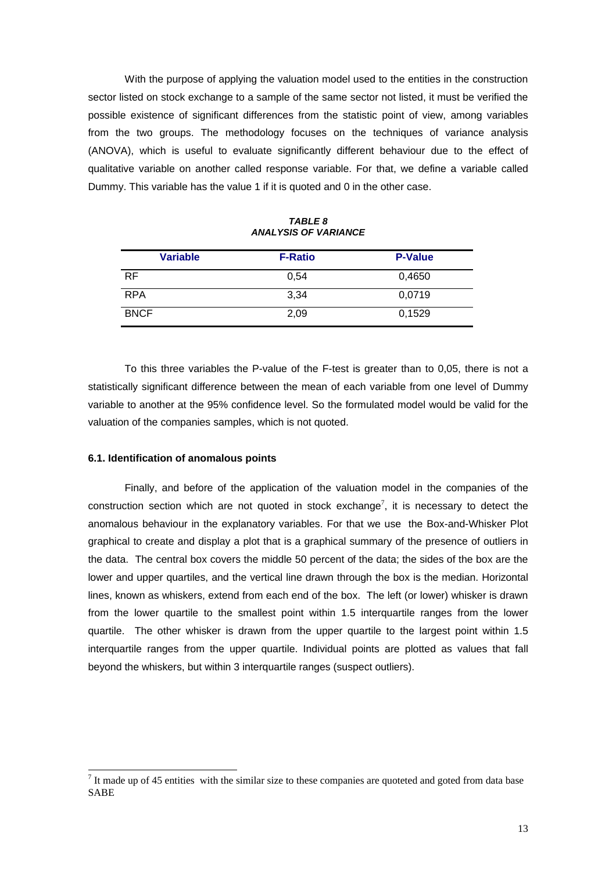With the purpose of applying the valuation model used to the entities in the construction sector listed on stock exchange to a sample of the same sector not listed, it must be verified the possible existence of significant differences from the statistic point of view, among variables from the two groups. The methodology focuses on the techniques of variance analysis (ANOVA), which is useful to evaluate significantly different behaviour due to the effect of qualitative variable on another called response variable. For that, we define a variable called Dummy. This variable has the value 1 if it is quoted and 0 in the other case.

| <b>Variable</b> | <b>F-Ratio</b> | <b>P-Value</b> |
|-----------------|----------------|----------------|
| <b>RF</b>       | 0.54           | 0,4650         |
| <b>RPA</b>      | 3,34           | 0,0719         |
| <b>BNCF</b>     | 2,09           | 0,1529         |

*TABLE 8 ANALYSIS OF VARIANCE*

To this three variables the P-value of the F-test is greater than to 0,05, there is not a statistically significant difference between the mean of each variable from one level of Dummy variable to another at the 95% confidence level. So the formulated model would be valid for the valuation of the companies samples, which is not quoted.

### **6.1. Identification of anomalous points**

l

Finally, and before of the application of the valuation model in the companies of the construction section which are not quoted in stock exchange<sup>7</sup>, it is necessary to detect the anomalous behaviour in the explanatory variables. For that we use the Box-and-Whisker Plot graphical to create and display a plot that is a graphical summary of the presence of outliers in the data. The central box covers the middle 50 percent of the data; the sides of the box are the lower and upper quartiles, and the vertical line drawn through the box is the median. Horizontal lines, known as whiskers, extend from each end of the box. The left (or lower) whisker is drawn from the lower quartile to the smallest point within 1.5 interquartile ranges from the lower quartile. The other whisker is drawn from the upper quartile to the largest point within 1.5 interquartile ranges from the upper quartile. Individual points are plotted as values that fall beyond the whiskers, but within 3 interquartile ranges (suspect outliers).

 $<sup>7</sup>$  It made up of 45 entities with the similar size to these companies are quoteted and goted from data base</sup> SABE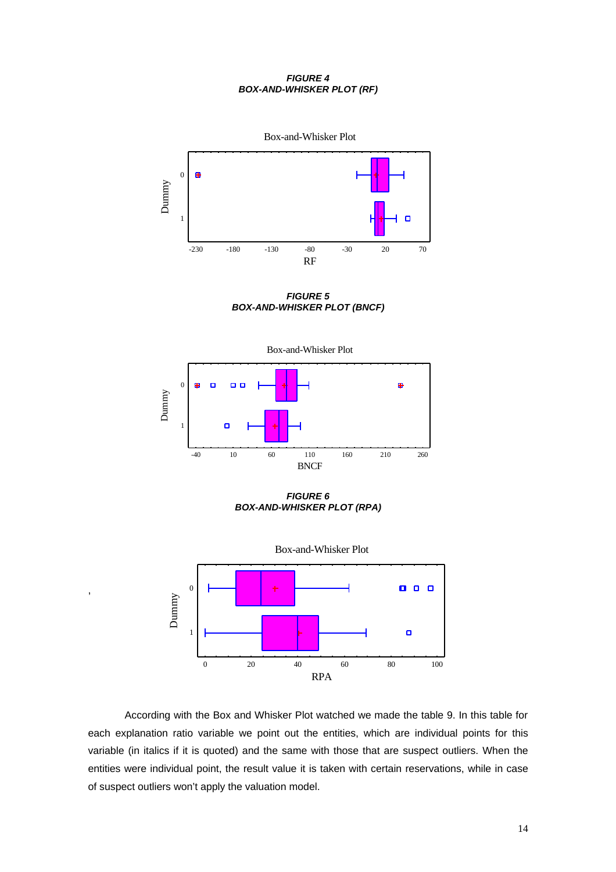### *FIGURE 4 BOX-AND-WHISKER PLOT (RF)*



*FIGURE 5 BOX-AND-WHISKER PLOT (BNCF)*



*FIGURE 6 BOX-AND-WHISKER PLOT (RPA)*



,

According with the Box and Whisker Plot watched we made the table 9. In this table for each explanation ratio variable we point out the entities, which are individual points for this variable (in italics if it is quoted) and the same with those that are suspect outliers. When the entities were individual point, the result value it is taken with certain reservations, while in case of suspect outliers won't apply the valuation model.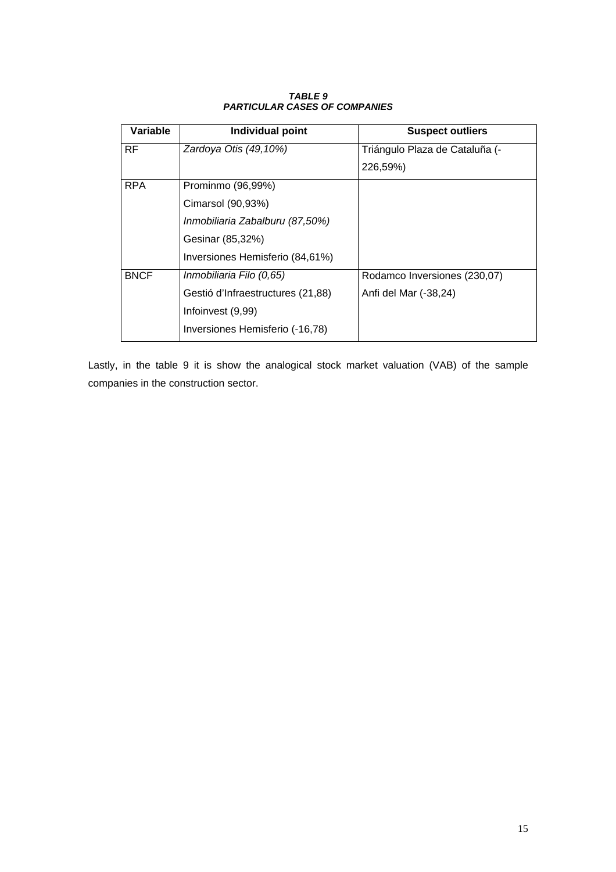| Variable    | Individual point                  | <b>Suspect outliers</b>        |
|-------------|-----------------------------------|--------------------------------|
| RF.         | Zardoya Otis (49,10%)             | Triángulo Plaza de Cataluña (- |
|             |                                   | 226,59%)                       |
| <b>RPA</b>  | Prominmo (96,99%)                 |                                |
|             | Cimarsol (90,93%)                 |                                |
|             | Inmobiliaria Zabalburu (87,50%)   |                                |
|             | Gesinar (85,32%)                  |                                |
|             | Inversiones Hemisferio (84,61%)   |                                |
| <b>BNCF</b> | Inmobiliaria Filo (0,65)          | Rodamco Inversiones (230,07)   |
|             | Gestió d'Infraestructures (21,88) | Anfi del Mar (-38,24)          |
|             | Infoinvest (9,99)                 |                                |
|             | Inversiones Hemisferio (-16,78)   |                                |

## *TABLE 9 PARTICULAR CASES OF COMPANIES*

Lastly, in the table 9 it is show the analogical stock market valuation (VAB) of the sample companies in the construction sector.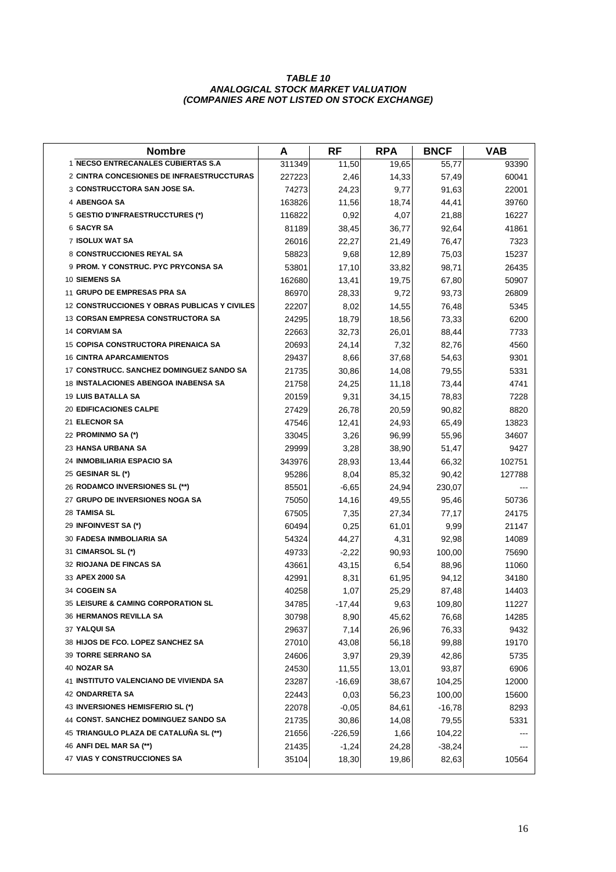### *TABLE 10 ANALOGICAL STOCK MARKET VALUATION (COMPANIES ARE NOT LISTED ON STOCK EXCHANGE)*

| <b>Nombre</b>                                    | A      | <b>RF</b> | <b>RPA</b> | <b>BNCF</b> | <b>VAB</b> |
|--------------------------------------------------|--------|-----------|------------|-------------|------------|
| 1 NECSO ENTRECANALES CUBIERTAS S.A               | 311349 | 11,50     | 19,65      | 55,77       | 93390      |
| <b>2 CINTRA CONCESIONES DE INFRAESTRUCCTURAS</b> | 227223 | 2,46      | 14,33      | 57,49       | 60041      |
| 3 CONSTRUCCTORA SAN JOSE SA.                     | 74273  | 24,23     | 9,77       | 91,63       | 22001      |
| 4 ABENGOA SA                                     | 163826 | 11,56     | 18,74      | 44,41       | 39760      |
| 5 GESTIO D'INFRAESTRUCCTURES (*)                 | 116822 | 0,92      | 4,07       | 21,88       | 16227      |
| <b>6 SACYR SA</b>                                | 81189  | 38,45     | 36,77      | 92,64       | 41861      |
| <b>7 ISOLUX WAT SA</b>                           | 26016  | 22,27     | 21,49      | 76,47       | 7323       |
| 8 CONSTRUCCIONES REYAL SA                        | 58823  | 9,68      | 12,89      | 75,03       | 15237      |
| <b>9 PROM. Y CONSTRUC. PYC PRYCONSA SA</b>       | 53801  | 17,10     | 33,82      | 98,71       | 26435      |
| <b>10 SIEMENS SA</b>                             | 162680 | 13,41     | 19,75      | 67,80       | 50907      |
| 11 GRUPO DE EMPRESAS PRA SA                      | 86970  | 28,33     | 9,72       | 93,73       | 26809      |
| 12 CONSTRUCCIONES Y OBRAS PUBLICAS Y CIVILES     | 22207  | 8,02      | 14,55      | 76,48       | 5345       |
| <b>13 CORSAN EMPRESA CONSTRUCTORA SA</b>         | 24295  | 18,79     | 18,56      | 73,33       | 6200       |
| <b>14 CORVIAM SA</b>                             | 22663  | 32,73     | 26,01      | 88,44       | 7733       |
| <b>15 COPISA CONSTRUCTORA PIRENAICA SA</b>       | 20693  | 24,14     | 7,32       | 82,76       | 4560       |
| <b>16 CINTRA APARCAMIENTOS</b>                   | 29437  | 8,66      | 37,68      | 54,63       | 9301       |
| 17 CONSTRUCC. SANCHEZ DOMINGUEZ SANDO SA         | 21735  | 30,86     | 14,08      | 79,55       | 5331       |
| <b>18 INSTALACIONES ABENGOA INABENSA SA</b>      | 21758  | 24,25     | 11,18      | 73,44       | 4741       |
| 19 LUIS BATALLA SA                               | 20159  | 9,31      | 34,15      | 78,83       | 7228       |
| <b>20 EDIFICACIONES CALPE</b>                    | 27429  | 26,78     | 20,59      | 90,82       | 8820       |
| 21 ELECNOR SA                                    | 47546  | 12,41     | 24,93      | 65,49       | 13823      |
| 22 PROMINMO SA (*)                               | 33045  | 3,26      | 96,99      | 55,96       | 34607      |
| 23 HANSA URBANA SA                               | 29999  | 3,28      | 38,90      | 51,47       | 9427       |
| 24 INMOBILIARIA ESPACIO SA                       | 343976 | 28,93     | 13,44      | 66,32       | 102751     |
| 25 GESINAR SL (*)                                | 95286  | 8,04      | 85,32      | 90,42       | 127788     |
| 26 RODAMCO INVERSIONES SL (**)                   | 85501  | -6,65     | 24,94      | 230,07      |            |
| 27 GRUPO DE INVERSIONES NOGA SA                  | 75050  | 14,16     | 49,55      | 95,46       | 50736      |
| 28 TAMISA SL                                     | 67505  | 7,35      | 27,34      | 77,17       | 24175      |
| 29 INFOINVEST SA (*)                             | 60494  | 0,25      | 61,01      | 9,99        | 21147      |
| 30 FADESA INMBOLIARIA SA                         | 54324  | 44,27     | 4,31       | 92,98       | 14089      |
| 31 CIMARSOL SL (*)                               | 49733  | $-2,22$   | 90,93      | 100,00      | 75690      |
| 32 RIOJANA DE FINCAS SA                          | 43661  | 43,15     | 6,54       | 88,96       | 11060      |
| 33 APEX 2000 SA                                  | 42991  | 8,31      | 61,95      | 94,12       | 34180      |
| 34 COGEIN SA                                     | 40258  | 1,07      | 25,29      | 87,48       | 14403      |
| <b>35 LEISURE &amp; CAMING CORPORATION SL</b>    | 34785  | -17,44    | 9,63       | 109,80      | 11227      |
| <b>36 HERMANOS REVILLA SA</b>                    | 30798  | 8,90      | 45,62      | 76,68       | 14285      |
| 37 YALQUI SA                                     | 29637  | 7,14      | 26,96      | 76,33       | 9432       |
| 38 HIJOS DE FCO. LOPEZ SANCHEZ SA                | 27010  | 43,08     | 56,18      | 99,88       | 19170      |
| 39 TORRE SERRANO SA                              | 24606  | 3,97      | 29,39      | 42,86       | 5735       |
| 40 NOZAR SA                                      | 24530  | 11,55     | 13,01      | 93,87       | 6906       |
| 41 INSTITUTO VALENCIANO DE VIVIENDA SA           | 23287  | $-16,69$  | 38,67      | 104,25      | 12000      |
| 42 ONDARRETA SA                                  | 22443  | 0,03      | 56,23      | 100,00      | 15600      |
| 43 INVERSIONES HEMISFERIO SL (*)                 | 22078  | $-0,05$   | 84,61      | $-16,78$    | 8293       |
| 44 CONST. SANCHEZ DOMINGUEZ SANDO SA             | 21735  | 30,86     | 14,08      | 79,55       | 5331       |
| 45 TRIANGULO PLAZA DE CATALUÑA SL (**)           | 21656  | $-226,59$ | 1,66       | 104,22      |            |
| 46 ANFI DEL MAR SA (**)                          | 21435  | $-1,24$   | 24,28      | $-38,24$    |            |
| <b>47 VIAS Y CONSTRUCCIONES SA</b>               | 35104  | 18,30     | 19,86      | 82,63       | 10564      |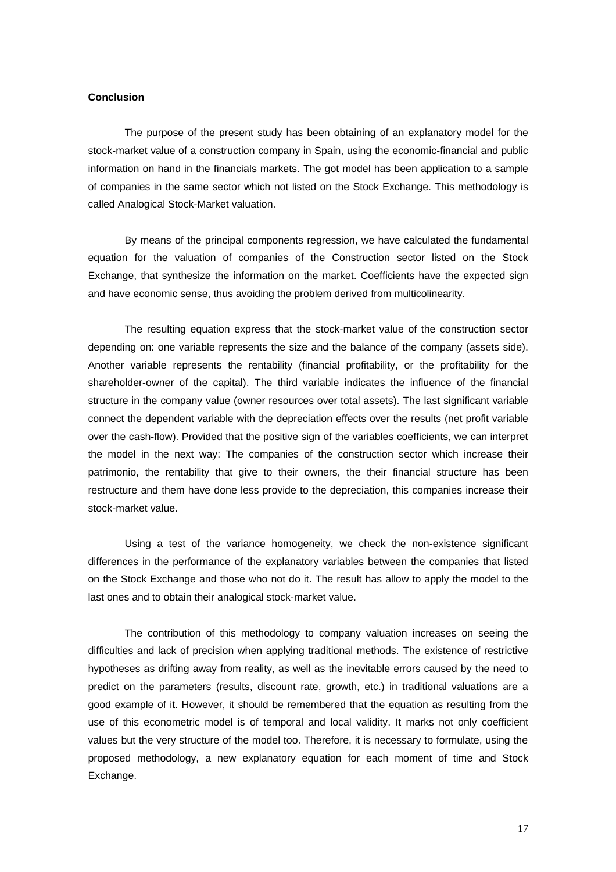## **Conclusion**

The purpose of the present study has been obtaining of an explanatory model for the stock-market value of a construction company in Spain, using the economic-financial and public information on hand in the financials markets. The got model has been application to a sample of companies in the same sector which not listed on the Stock Exchange. This methodology is called Analogical Stock-Market valuation.

By means of the principal components regression, we have calculated the fundamental equation for the valuation of companies of the Construction sector listed on the Stock Exchange, that synthesize the information on the market. Coefficients have the expected sign and have economic sense, thus avoiding the problem derived from multicolinearity.

The resulting equation express that the stock-market value of the construction sector depending on: one variable represents the size and the balance of the company (assets side). Another variable represents the rentability (financial profitability, or the profitability for the shareholder-owner of the capital). The third variable indicates the influence of the financial structure in the company value (owner resources over total assets). The last significant variable connect the dependent variable with the depreciation effects over the results (net profit variable over the cash-flow). Provided that the positive sign of the variables coefficients, we can interpret the model in the next way: The companies of the construction sector which increase their patrimonio, the rentability that give to their owners, the their financial structure has been restructure and them have done less provide to the depreciation, this companies increase their stock-market value.

Using a test of the variance homogeneity, we check the non-existence significant differences in the performance of the explanatory variables between the companies that listed on the Stock Exchange and those who not do it. The result has allow to apply the model to the last ones and to obtain their analogical stock-market value.

The contribution of this methodology to company valuation increases on seeing the difficulties and lack of precision when applying traditional methods. The existence of restrictive hypotheses as drifting away from reality, as well as the inevitable errors caused by the need to predict on the parameters (results, discount rate, growth, etc.) in traditional valuations are a good example of it. However, it should be remembered that the equation as resulting from the use of this econometric model is of temporal and local validity. It marks not only coefficient values but the very structure of the model too. Therefore, it is necessary to formulate, using the proposed methodology, a new explanatory equation for each moment of time and Stock Exchange.